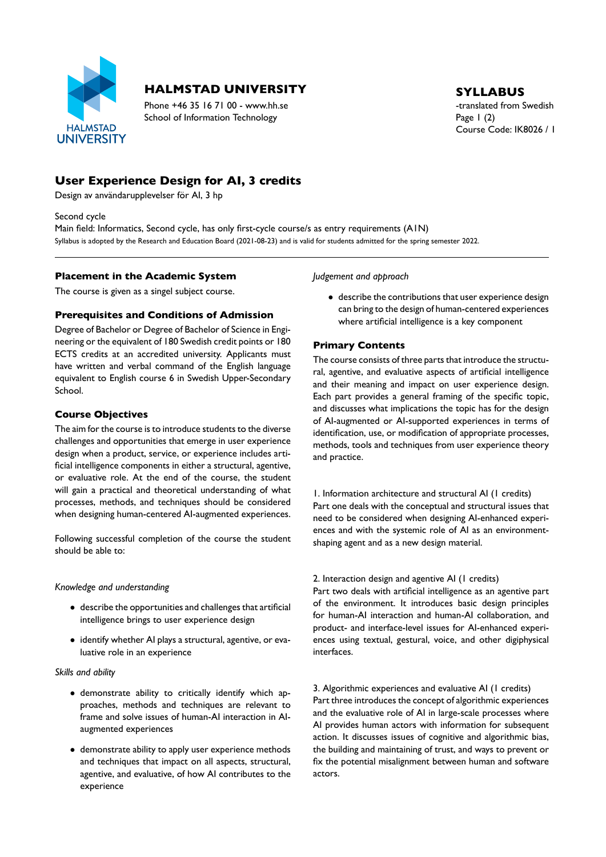

# **HALMSTAD UNIVERSITY** SYLLABUS

Phone +46 35 16 71 00 - www.hh.se the translated from Swedish School of Information Technology Page 1 (2)

Course Code: IK8026 / 1

# **User Experience Design for AI, 3 credits**

Design av användarupplevelser för AI, 3 hp

Second cycle

Main field: Informatics, Second cycle, has only first-cycle course/s as entry requirements (A1N) Syllabus is adopted by the Research and Education Board (2021-08-23) and is valid for students admitted for the spring semester 2022.

## **Placement in the Academic System**

The course is given as a singel subject course.

# **Prerequisites and Conditions of Admission**

Degree of Bachelor or Degree of Bachelor of Science in Engi neering or the equivalent of 180 Swedish credit points or 180 ECTS credits at an accredited university. Applicants must have written and verbal command of the English language equivalent to English course 6 in Swedish Upper-Secondary School.

#### **Course Objectives**

The aim for the course is to introduce students to the diverse challenges and opportunities that emerge in user experience design when a product, service, or experience includes arti ficial intelligence components in either a structural, agentive, or evaluative role. At the end of the course, the student will gain a practical and theoretical understanding of what processes, methods, and techniques should be considered when designing human-centered AI-augmented experiences.

Following successful completion of the course the student should be able to:

#### *Knowledge and understanding*

- describe the opportunities and challenges that artificial intelligence brings to user experience design
- identify whether AI plays a structural, agentive, or eva luative role in an experience

#### *Skills and ability*

- demonstrate ability to critically identify which ap proaches, methods and techniques are relevant to frame and solve issues of human-AI interaction in AIaugmented experiences
- demonstrate ability to apply user experience methods and techniques that impact on all aspects, structural, agentive, and evaluative, of how AI contributes to the experience

*Judgement and approach*

• describe the contributions that user experience design can bring to the design of human-centered experiences where artificial intelligence is a key component

# **Primary Contents**

The course consists of three parts that introduce the structu ral, agentive, and evaluative aspects of artificial intelligence and their meaning and impact on user experience design. Each part provides a general framing of the specific topic, and discusses what implications the topic has for the design of AI-augmented or AI-supported experiences in terms of identification, use, or modification of appropriate processes, methods, tools and techniques from user experience theory and practice.

1. Information architecture and structural AI (1 credits) Part one deals with the conceptual and structural issues that need to be considered when designing AI-enhanced experiences and with the systemic role of AI as an environment shaping agent and as a new design material.

#### 2. Interaction design and agentive AI (1 credits)

Part two deals with artificial intelligence as an agentive part of the environment. It introduces basic design principles for human-AI interaction and human-AI collaboration, and product- and interface-level issues for AI-enhanced experiences using textual, gestural, voice, and other digiphysical interfaces.

3. Algorithmic experiences and evaluative AI (1 credits) Part three introduces the concept of algorithmic experiences and the evaluative role of AI in large-scale processes where AI provides human actors with information for subsequent action. It discusses issues of cognitive and algorithmic bias, the building and maintaining of trust, and ways to prevent or fix the potential misalignment between human and software actors.